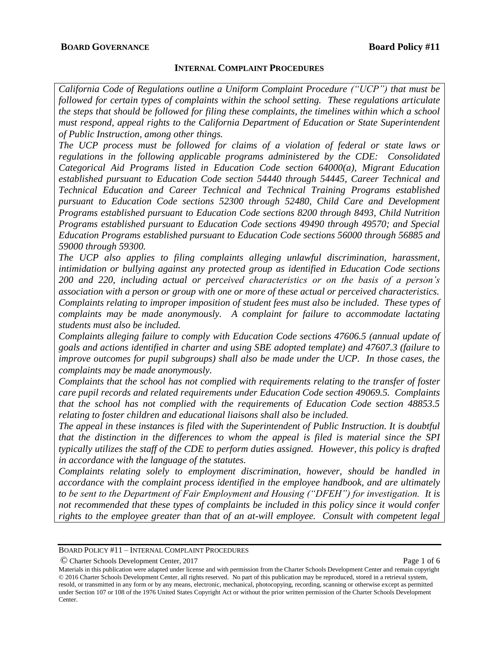### **INTERNAL COMPLAINT PROCEDURES**

*California Code of Regulations outline a Uniform Complaint Procedure ("UCP") that must be followed for certain types of complaints within the school setting. These regulations articulate the steps that should be followed for filing these complaints, the timelines within which a school must respond, appeal rights to the California Department of Education or State Superintendent of Public Instruction, among other things.* 

*The UCP process must be followed for claims of a violation of federal or state laws or regulations in the following applicable programs administered by the CDE: Consolidated Categorical Aid Programs listed in Education Code section 64000(a), Migrant Education established pursuant to Education Code section 54440 through 54445, Career Technical and Technical Education and Career Technical and Technical Training Programs established pursuant to Education Code sections 52300 through 52480, Child Care and Development Programs established pursuant to Education Code sections 8200 through 8493, Child Nutrition Programs established pursuant to Education Code sections 49490 through 49570; and Special Education Programs established pursuant to Education Code sections 56000 through 56885 and 59000 through 59300.* 

*The UCP also applies to filing complaints alleging unlawful discrimination, harassment, intimidation or bullying against any protected group as identified in Education Code sections 200 and 220, including actual or perceived characteristics or on the basis of a person's association with a person or group with one or more of these actual or perceived characteristics. Complaints relating to improper imposition of student fees must also be included. These types of complaints may be made anonymously. A complaint for failure to accommodate lactating students must also be included.* 

*Complaints alleging failure to comply with Education Code sections 47606.5 (annual update of goals and actions identified in charter and using SBE adopted template) and 47607.3 (failure to improve outcomes for pupil subgroups) shall also be made under the UCP. In those cases, the complaints may be made anonymously.* 

*Complaints that the school has not complied with requirements relating to the transfer of foster care pupil records and related requirements under Education Code section 49069.5. Complaints that the school has not complied with the requirements of Education Code section 48853.5 relating to foster children and educational liaisons shall also be included.* 

*The appeal in these instances is filed with the Superintendent of Public Instruction. It is doubtful that the distinction in the differences to whom the appeal is filed is material since the SPI typically utilizes the staff of the CDE to perform duties assigned. However, this policy is drafted in accordance with the language of the statutes.*

*Complaints relating solely to employment discrimination, however, should be handled in accordance with the complaint process identified in the employee handbook, and are ultimately to be sent to the Department of Fair Employment and Housing ("DFEH") for investigation. It is not recommended that these types of complaints be included in this policy since it would confer rights to the employee greater than that of an at-will employee. Consult with competent legal* 

© Charter Schools Development Center, 2017 Page 1 of 6

BOARD POLICY #11 – INTERNAL COMPLAINT PROCEDURES

Materials in this publication were adapted under license and with permission from the Charter Schools Development Center and remain copyright © 2016 Charter Schools Development Center, all rights reserved. No part of this publication may be reproduced, stored in a retrieval system, resold, or transmitted in any form or by any means, electronic, mechanical, photocopying, recording, scanning or otherwise except as permitted under Section 107 or 108 of the 1976 United States Copyright Act or without the prior written permission of the Charter Schools Development Center.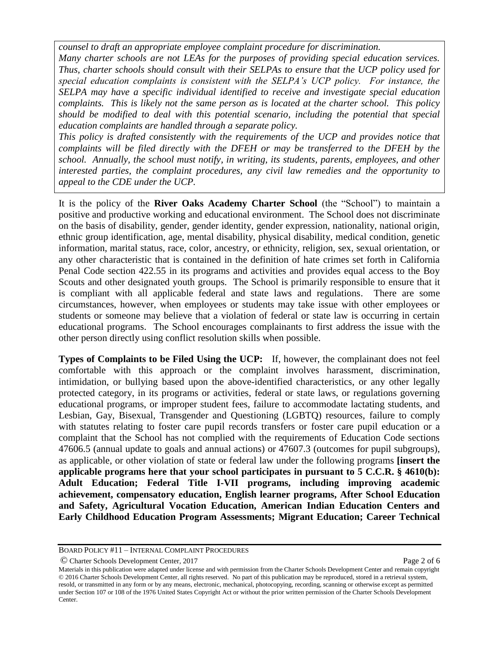*counsel to draft an appropriate employee complaint procedure for discrimination.*

*Many charter schools are not LEAs for the purposes of providing special education services. Thus, charter schools should consult with their SELPAs to ensure that the UCP policy used for special education complaints is consistent with the SELPA's UCP policy. For instance, the SELPA may have a specific individual identified to receive and investigate special education complaints. This is likely not the same person as is located at the charter school. This policy should be modified to deal with this potential scenario, including the potential that special education complaints are handled through a separate policy.*

*This policy is drafted consistently with the requirements of the UCP and provides notice that complaints will be filed directly with the DFEH or may be transferred to the DFEH by the school. Annually, the school must notify, in writing, its students, parents, employees, and other interested parties, the complaint procedures, any civil law remedies and the opportunity to appeal to the CDE under the UCP.* 

It is the policy of the **River Oaks Academy Charter School** (the "School") to maintain a positive and productive working and educational environment. The School does not discriminate on the basis of disability, gender, gender identity, gender expression, nationality, national origin, ethnic group identification, age, mental disability, physical disability, medical condition, genetic information, marital status, race, color, ancestry, or ethnicity, religion, sex, sexual orientation, or any other characteristic that is contained in the definition of hate crimes set forth in California Penal Code section 422.55 in its programs and activities and provides equal access to the Boy Scouts and other designated youth groups. The School is primarily responsible to ensure that it is compliant with all applicable federal and state laws and regulations. There are some circumstances, however, when employees or students may take issue with other employees or students or someone may believe that a violation of federal or state law is occurring in certain educational programs. The School encourages complainants to first address the issue with the other person directly using conflict resolution skills when possible.

**Types of Complaints to be Filed Using the UCP:** If, however, the complainant does not feel comfortable with this approach or the complaint involves harassment, discrimination, intimidation, or bullying based upon the above-identified characteristics, or any other legally protected category, in its programs or activities, federal or state laws, or regulations governing educational programs, or improper student fees, failure to accommodate lactating students, and Lesbian, Gay, Bisexual, Transgender and Questioning (LGBTQ) resources, failure to comply with statutes relating to foster care pupil records transfers or foster care pupil education or a complaint that the School has not complied with the requirements of Education Code sections 47606.5 (annual update to goals and annual actions) or 47607.3 (outcomes for pupil subgroups), as applicable, or other violation of state or federal law under the following programs **[insert the applicable programs here that your school participates in pursuant to 5 C.C.R. § 4610(b): Adult Education; Federal Title I-VII programs, including improving academic achievement, compensatory education, English learner programs, After School Education and Safety, Agricultural Vocation Education, American Indian Education Centers and Early Childhood Education Program Assessments; Migrant Education; Career Technical** 

© Charter Schools Development Center, 2017 Page 2 of 6

BOARD POLICY #11 – INTERNAL COMPLAINT PROCEDURES

Materials in this publication were adapted under license and with permission from the Charter Schools Development Center and remain copyright © 2016 Charter Schools Development Center, all rights reserved. No part of this publication may be reproduced, stored in a retrieval system, resold, or transmitted in any form or by any means, electronic, mechanical, photocopying, recording, scanning or otherwise except as permitted under Section 107 or 108 of the 1976 United States Copyright Act or without the prior written permission of the Charter Schools Development Center.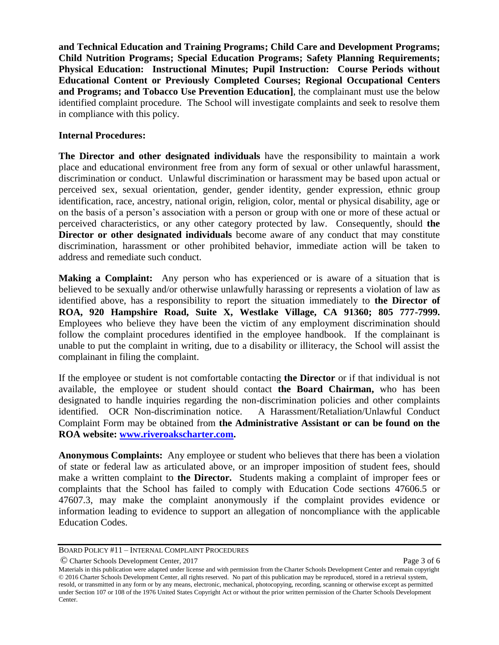**and Technical Education and Training Programs; Child Care and Development Programs; Child Nutrition Programs; Special Education Programs; Safety Planning Requirements; Physical Education: Instructional Minutes; Pupil Instruction: Course Periods without Educational Content or Previously Completed Courses; Regional Occupational Centers and Programs; and Tobacco Use Prevention Education]**, the complainant must use the below identified complaint procedure. The School will investigate complaints and seek to resolve them in compliance with this policy.

### **Internal Procedures:**

**The Director and other designated individuals** have the responsibility to maintain a work place and educational environment free from any form of sexual or other unlawful harassment, discrimination or conduct. Unlawful discrimination or harassment may be based upon actual or perceived sex, sexual orientation, gender, gender identity, gender expression, ethnic group identification, race, ancestry, national origin, religion, color, mental or physical disability, age or on the basis of a person's association with a person or group with one or more of these actual or perceived characteristics, or any other category protected by law. Consequently, should **the Director or other designated individuals** become aware of any conduct that may constitute discrimination, harassment or other prohibited behavior, immediate action will be taken to address and remediate such conduct.

**Making a Complaint:** Any person who has experienced or is aware of a situation that is believed to be sexually and/or otherwise unlawfully harassing or represents a violation of law as identified above, has a responsibility to report the situation immediately to **the Director of ROA, 920 Hampshire Road, Suite X, Westlake Village, CA 91360; 805 777-7999.** Employees who believe they have been the victim of any employment discrimination should follow the complaint procedures identified in the employee handbook. If the complainant is unable to put the complaint in writing, due to a disability or illiteracy, the School will assist the complainant in filing the complaint.

If the employee or student is not comfortable contacting **the Director** or if that individual is not available, the employee or student should contact **the Board Chairman,** who has been designated to handle inquiries regarding the non-discrimination policies and other complaints identified. OCR Non-discrimination notice. A Harassment/Retaliation/Unlawful Conduct Complaint Form may be obtained from **the Administrative Assistant or can be found on the ROA website: [www.riveroakscharter.com.](http://www.riveroakscharter.com/)** 

**Anonymous Complaints:** Any employee or student who believes that there has been a violation of state or federal law as articulated above, or an improper imposition of student fees, should make a written complaint to **the Director.** Students making a complaint of improper fees or complaints that the School has failed to comply with Education Code sections 47606.5 or 47607.3, may make the complaint anonymously if the complaint provides evidence or information leading to evidence to support an allegation of noncompliance with the applicable Education Codes.

© Charter Schools Development Center, 2017 Page 3 of 6

BOARD POLICY #11 – INTERNAL COMPLAINT PROCEDURES

Materials in this publication were adapted under license and with permission from the Charter Schools Development Center and remain copyright © 2016 Charter Schools Development Center, all rights reserved. No part of this publication may be reproduced, stored in a retrieval system, resold, or transmitted in any form or by any means, electronic, mechanical, photocopying, recording, scanning or otherwise except as permitted under Section 107 or 108 of the 1976 United States Copyright Act or without the prior written permission of the Charter Schools Development Center.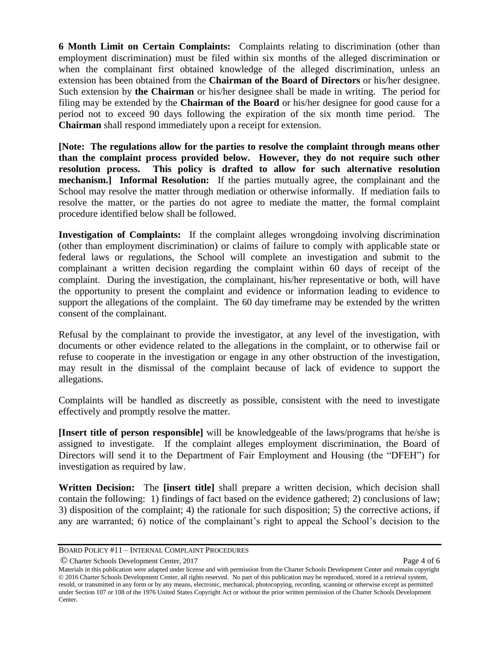**6 Month Limit on Certain Complaints:** Complaints relating to discrimination (other than employment discrimination) must be filed within six months of the alleged discrimination or when the complainant first obtained knowledge of the alleged discrimination, unless an extension has been obtained from the **Chairman of the Board of Directors** or his/her designee. Such extension by **the Chairman** or his/her designee shall be made in writing. The period for filing may be extended by the **Chairman of the Board** or his/her designee for good cause for a period not to exceed 90 days following the expiration of the six month time period. The **Chairman** shall respond immediately upon a receipt for extension.

**[Note: The regulations allow for the parties to resolve the complaint through means other than the complaint process provided below. However, they do not require such other resolution process. This policy is drafted to allow for such alternative resolution mechanism.** Informal Resolution: If the parties mutually agree, the complainant and the School may resolve the matter through mediation or otherwise informally. If mediation fails to resolve the matter, or the parties do not agree to mediate the matter, the formal complaint procedure identified below shall be followed.

**Investigation of Complaints:** If the complaint alleges wrongdoing involving discrimination (other than employment discrimination) or claims of failure to comply with applicable state or federal laws or regulations, the School will complete an investigation and submit to the complainant a written decision regarding the complaint within 60 days of receipt of the complaint. During the investigation, the complainant, his/her representative or both, will have the opportunity to present the complaint and evidence or information leading to evidence to support the allegations of the complaint. The 60 day timeframe may be extended by the written consent of the complainant.

Refusal by the complainant to provide the investigator, at any level of the investigation, with documents or other evidence related to the allegations in the complaint, or to otherwise fail or refuse to cooperate in the investigation or engage in any other obstruction of the investigation, may result in the dismissal of the complaint because of lack of evidence to support the allegations.

Complaints will be handled as discreetly as possible, consistent with the need to investigate effectively and promptly resolve the matter.

**[Insert title of person responsible]** will be knowledgeable of the laws/programs that he/she is assigned to investigate. If the complaint alleges employment discrimination, the Board of Directors will send it to the Department of Fair Employment and Housing (the "DFEH") for investigation as required by law.

**Written Decision:** The **[insert title]** shall prepare a written decision, which decision shall contain the following: 1) findings of fact based on the evidence gathered; 2) conclusions of law; 3) disposition of the complaint; 4) the rationale for such disposition; 5) the corrective actions, if any are warranted; 6) notice of the complainant's right to appeal the School's decision to the

© Charter Schools Development Center, 2017 Page 4 of 6

BOARD POLICY #11 – INTERNAL COMPLAINT PROCEDURES

Materials in this publication were adapted under license and with permission from the Charter Schools Development Center and remain copyright © 2016 Charter Schools Development Center, all rights reserved. No part of this publication may be reproduced, stored in a retrieval system, resold, or transmitted in any form or by any means, electronic, mechanical, photocopying, recording, scanning or otherwise except as permitted under Section 107 or 108 of the 1976 United States Copyright Act or without the prior written permission of the Charter Schools Development Center.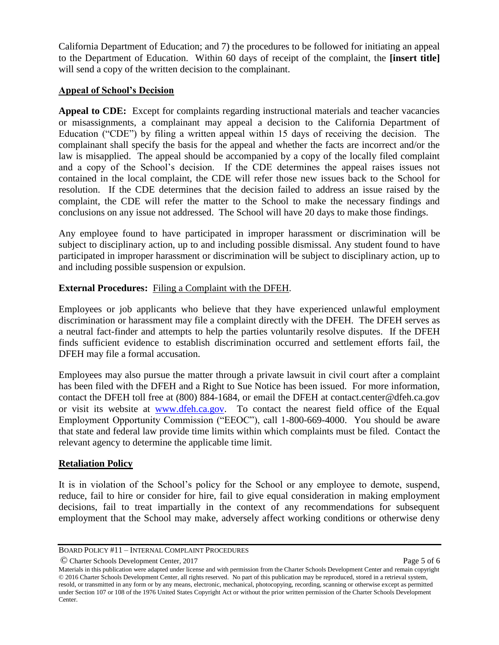California Department of Education; and 7) the procedures to be followed for initiating an appeal to the Department of Education. Within 60 days of receipt of the complaint, the **[insert title]**  will send a copy of the written decision to the complainant.

# **Appeal of School's Decision**

Appeal to CDE: Except for complaints regarding instructional materials and teacher vacancies or misassignments, a complainant may appeal a decision to the California Department of Education ("CDE") by filing a written appeal within 15 days of receiving the decision. The complainant shall specify the basis for the appeal and whether the facts are incorrect and/or the law is misapplied. The appeal should be accompanied by a copy of the locally filed complaint and a copy of the School's decision. If the CDE determines the appeal raises issues not contained in the local complaint, the CDE will refer those new issues back to the School for resolution. If the CDE determines that the decision failed to address an issue raised by the complaint, the CDE will refer the matter to the School to make the necessary findings and conclusions on any issue not addressed. The School will have 20 days to make those findings.

Any employee found to have participated in improper harassment or discrimination will be subject to disciplinary action, up to and including possible dismissal. Any student found to have participated in improper harassment or discrimination will be subject to disciplinary action, up to and including possible suspension or expulsion.

# **External Procedures:** Filing a Complaint with the DFEH.

Employees or job applicants who believe that they have experienced unlawful employment discrimination or harassment may file a complaint directly with the DFEH. The DFEH serves as a neutral fact-finder and attempts to help the parties voluntarily resolve disputes. If the DFEH finds sufficient evidence to establish discrimination occurred and settlement efforts fail, the DFEH may file a formal accusation.

Employees may also pursue the matter through a private lawsuit in civil court after a complaint has been filed with the DFEH and a Right to Sue Notice has been issued. For more information, contact the DFEH toll free at (800) 884-1684, or email the DFEH at contact.center@dfeh.ca.gov or visit its website at [www.dfeh.ca.gov.](http://www.dfeh.ca.gov/) To contact the nearest field office of the Equal Employment Opportunity Commission ("EEOC"), call 1-800-669-4000. You should be aware that state and federal law provide time limits within which complaints must be filed. Contact the relevant agency to determine the applicable time limit.

### **Retaliation Policy**

It is in violation of the School's policy for the School or any employee to demote, suspend, reduce, fail to hire or consider for hire, fail to give equal consideration in making employment decisions, fail to treat impartially in the context of any recommendations for subsequent employment that the School may make, adversely affect working conditions or otherwise deny

© Charter Schools Development Center, 2017 Page 5 of 6

BOARD POLICY #11 – INTERNAL COMPLAINT PROCEDURES

Materials in this publication were adapted under license and with permission from the Charter Schools Development Center and remain copyright © 2016 Charter Schools Development Center, all rights reserved. No part of this publication may be reproduced, stored in a retrieval system, resold, or transmitted in any form or by any means, electronic, mechanical, photocopying, recording, scanning or otherwise except as permitted under Section 107 or 108 of the 1976 United States Copyright Act or without the prior written permission of the Charter Schools Development Center.